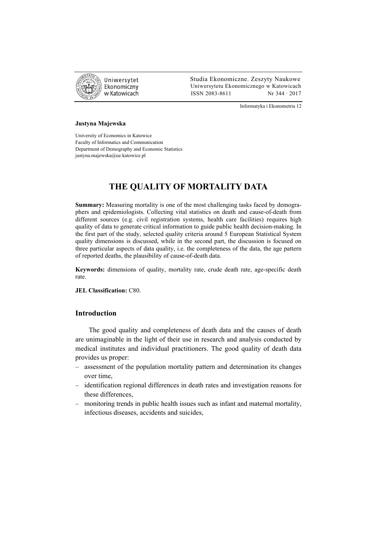

 Studia Ekonomiczne. Zeszyty Naukowe Ekonomiczny Uniwersytetu Ekonomicznego w Katowicach w Katowicach Matsus 2083-8611 Nr 344 · 2017

Informatyka i Ekonometria 12

#### **Justyna Majewska**

University of Economics in Katowice Faculty of Informatics and Communication Department of Demography and Economic Statistics justyna.majewska@ue.katowice.pl

# **THE QUALITY OF MORTALITY DATA**

**Summary:** Measuring mortality is one of the most challenging tasks faced by demographers and epidemiologists. Collecting vital statistics on death and cause-of-death from different sources (e.g. civil registration systems, health care facilities) requires high quality of data to generate critical information to guide public health decision-making. In the first part of the study, selected quality criteria around 5 European Statistical System quality dimensions is discussed, while in the second part, the discussion is focused on three particular aspects of data quality, i.e. the completeness of the data, the age pattern of reported deaths, the plausibility of cause-of-death data.

**Keywords:** dimensions of quality, mortality rate, crude death rate, age-specific death rate.

**JEL Classification:** C80.

## **Introduction**

The good quality and completeness of death data and the causes of death are unimaginable in the light of their use in research and analysis conducted by medical institutes and individual practitioners. The good quality of death data provides us proper:

- assessment of the population mortality pattern and determination its changes over time,
- identification regional differences in death rates and investigation reasons for these differences,
- monitoring trends in public health issues such as infant and maternal mortality, infectious diseases, accidents and suicides,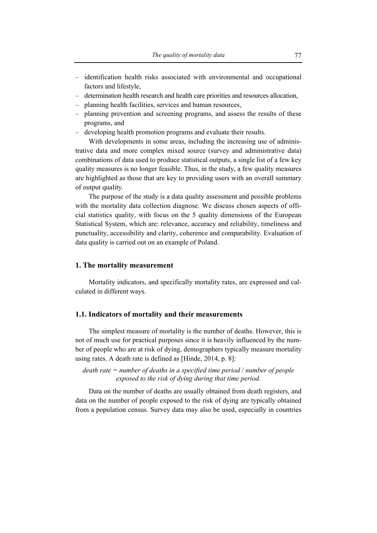- identification health risks associated with environmental and occupational factors and lifestyle,
- determination health research and health care priorities and resources allocation,
- planning health facilities, services and human resources,
- planning prevention and screening programs, and assess the results of these programs, and
- developing health promotion programs and evaluate their results.

With developments in some areas, including the increasing use of administrative data and more complex mixed source (survey and administrative data) combinations of data used to produce statistical outputs, a single list of a few key quality measures is no longer feasible. Thus, in the study, a few quality measures are highlighted as those that are key to providing users with an overall summary of output quality.

The purpose of the study is a data quality assessment and possible problems with the mortality data collection diagnose. We discuss chosen aspects of official statistics quality, with focus on the 5 quality dimensions of the European Statistical System, which are: relevance, accuracy and reliability, timeliness and punctuality, accessibility and clarity, coherence and comparability. Evaluation of data quality is carried out on an example of Poland.

## **1. The mortality measurement**

Mortality indicators, and specifically mortality rates, are expressed and calculated in different ways.

#### **1.1. Indicators of mortality and their measurements**

The simplest measure of mortality is the number of deaths. However, this is not of much use for practical purposes since it is heavily influenced by the number of people who are at risk of dying, demographers typically measure mortality using rates. A death rate is defined as [Hinde, 2014, p. 8]:

*death rate = number of deaths in a specified time period / number of people exposed to the risk of dying during that time period*.

Data on the number of deaths are usually obtained from death registers, and data on the number of people exposed to the risk of dying are typically obtained from a population census. Survey data may also be used, especially in countries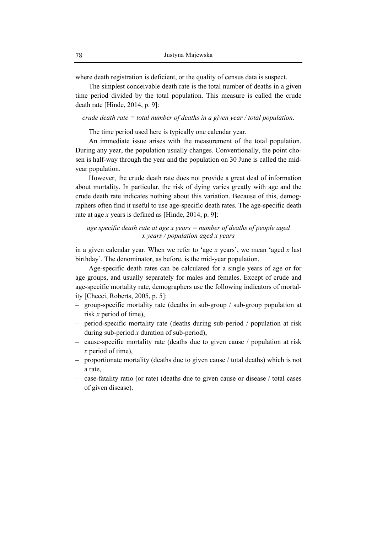where death registration is deficient, or the quality of census data is suspect.

The simplest conceivable death rate is the total number of deaths in a given time period divided by the total population. This measure is called the crude death rate [Hinde, 2014, p. 9]:

*crude death rate = total number of deaths in a given year / total population*.

The time period used here is typically one calendar year.

An immediate issue arises with the measurement of the total population. During any year, the population usually changes. Conventionally, the point chosen is half-way through the year and the population on 30 June is called the midyear population*.* 

However, the crude death rate does not provide a great deal of information about mortality. In particular, the risk of dying varies greatly with age and the crude death rate indicates nothing about this variation. Because of this, demographers often find it useful to use age-specific death rates*.* The age-specific death rate at age *x* years is defined as [Hinde, 2014, p. 9]:

# *age specific death rate at age x years = number of deaths of people aged x years / population aged x years*

in a given calendar year. When we refer to 'age *x* years', we mean 'aged *x* last birthday'. The denominator, as before, is the mid-year population.

Age-specific death rates can be calculated for a single years of age or for age groups, and usually separately for males and females. Except of crude and age-specific mortality rate, demographers use the following indicators of mortality [Checci, Roberts, 2005, p. 5]:

- group-specific mortality rate (deaths in sub-group / sub-group population at risk *x* period of time),
- period-specific mortality rate (deaths during sub-period / population at risk during sub-period *x* duration of sub-period),
- cause-specific mortality rate (deaths due to given cause / population at risk *x* period of time),
- proportionate mortality (deaths due to given cause / total deaths) which is not a rate,
- case-fatality ratio (or rate) (deaths due to given cause or disease / total cases of given disease).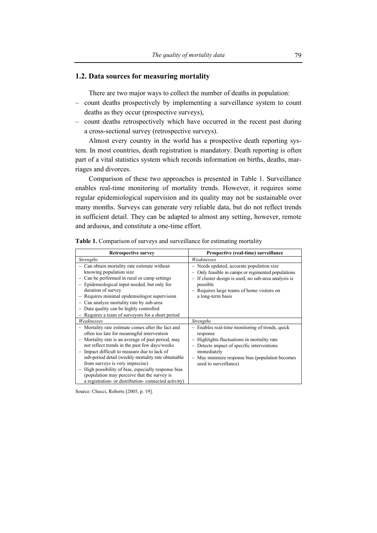## **1.2. Data sources for measuring mortality**

There are two major ways to collect the number of deaths in population:

- count deaths prospectively by implementing a surveillance system to count deaths as they occur (prospective surveys),
- count deaths retrospectively which have occurred in the recent past during a cross-sectional survey (retrospective surveys).

Almost every country in the world has a prospective death reporting system. In most countries, death registration is mandatory. Death reporting is often part of a vital statistics system which records information on births, deaths, marriages and divorces.

Comparison of these two approaches is presented in Table 1. Surveillance enables real-time monitoring of mortality trends. However, it requires some regular epidemiological supervision and its quality may not be sustainable over many months. Surveys can generate very reliable data, but do not reflect trends in sufficient detail. They can be adapted to almost any setting, however, remote and arduous, and constitute a one-time effort.

| <b>Retrospective survey</b>                                                                                                                                                                                                                                                                                                                                                                                                                                                                                | Prospective (real-time) surveillance                                                                                                                                                                                                               |  |
|------------------------------------------------------------------------------------------------------------------------------------------------------------------------------------------------------------------------------------------------------------------------------------------------------------------------------------------------------------------------------------------------------------------------------------------------------------------------------------------------------------|----------------------------------------------------------------------------------------------------------------------------------------------------------------------------------------------------------------------------------------------------|--|
| <b>Strengths</b>                                                                                                                                                                                                                                                                                                                                                                                                                                                                                           | Weaknesses                                                                                                                                                                                                                                         |  |
| - Can obtain mortality rate estimate without<br>knowing population size<br>Can be performed in rural or camp settings<br>Epidemiological input needed, but only for<br>duration of survey<br>Requires minimal epidemiologist supervision<br>Can analyze mortality rate by sub-area<br>Data quality can be highly controlled<br>- Requires a team of surveyors for a short period                                                                                                                           | - Needs updated, accurate population size<br>Only feasible in camps or regimented populations<br>- If cluster design is used, no sub-area analysis is<br>possible<br>- Requires large teams of home visitors on<br>a long-term basis               |  |
| Weaknesses                                                                                                                                                                                                                                                                                                                                                                                                                                                                                                 | <i>Strengths</i>                                                                                                                                                                                                                                   |  |
| - Mortality rate estimate comes after the fact and<br>often too late for meaningful intervention<br>- Mortality rate is an average of past period, may<br>not reflect trends in the past few days/weeks<br>Impact difficult to measure due to lack of<br>sub-period detail (weekly mortality rate obtainable<br>from surveys is very imprecise)<br>High possibility of bias, especially response bias<br>(population may perceive that the survey is<br>a registration or distribution connected activity) | - Enables real-time monitoring of trends, quick<br>response<br>Highlights fluctuations in mortality rate<br>- Detects impact of specific interventions<br>immediately<br>- May minimize response bias (population becomes<br>used to surveillance) |  |

**Table 1.** Comparison of surveys and surveillance for estimating mortality

Source: Checci, Roberts [2005, p. 19].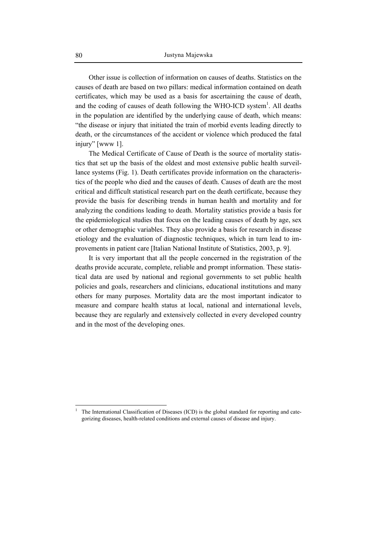Other issue is collection of information on causes of deaths. Statistics on the causes of death are based on two pillars: medical information contained on death certificates, which may be used as a basis for ascertaining the cause of death, and the coding of causes of death following the WHO-ICD system<sup>1</sup>. All deaths in the population are identified by the underlying cause of death, which means: "the disease or injury that initiated the train of morbid events leading directly to death, or the circumstances of the accident or violence which produced the fatal injury" [www 1].

The Medical Certificate of Cause of Death is the source of mortality statistics that set up the basis of the oldest and most extensive public health surveillance systems (Fig. 1). Death certificates provide information on the characteristics of the people who died and the causes of death. Causes of death are the most critical and difficult statistical research part on the death certificate, because they provide the basis for describing trends in human health and mortality and for analyzing the conditions leading to death. Mortality statistics provide a basis for the epidemiological studies that focus on the leading causes of death by age, sex or other demographic variables. They also provide a basis for research in disease etiology and the evaluation of diagnostic techniques, which in turn lead to improvements in patient care [Italian National Institute of Statistics, 2003, p. 9].

It is very important that all the people concerned in the registration of the deaths provide accurate, complete, reliable and prompt information. These statistical data are used by national and regional governments to set public health policies and goals, researchers and clinicians, educational institutions and many others for many purposes. Mortality data are the most important indicator to measure and compare health status at local, national and international levels, because they are regularly and extensively collected in every developed country and in the most of the developing ones.

 $\overline{a}$ 

<sup>1</sup> The International Classification of Diseases (ICD) is the global standard for reporting and categorizing diseases, health-related conditions and external causes of disease and injury.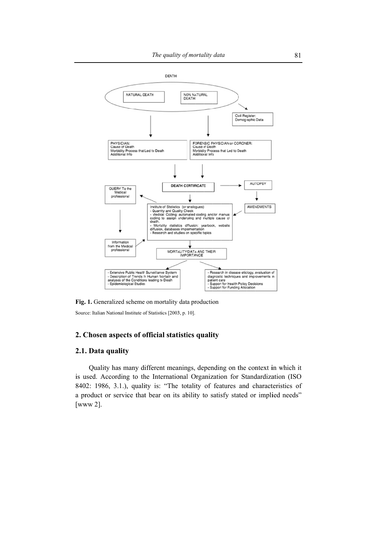

Fig. 1. Generalized scheme on mortality data production

Source: Italian National Institute of Statistics [2003, p. 10].

## **2.** Chosen aspects of official statistics quality

## 2.1. Data quality

is used. According to the International Organization for Standardization (ISO is used. According to the International Organization for Standardization (ISO<br>8402: 1986, 3.1.), quality is: "The totality of features and characteristics of a product or service that bear on its ability to satisfy stated or implied needs" [www 2]. Quality has many different meanings, depending on the context in which it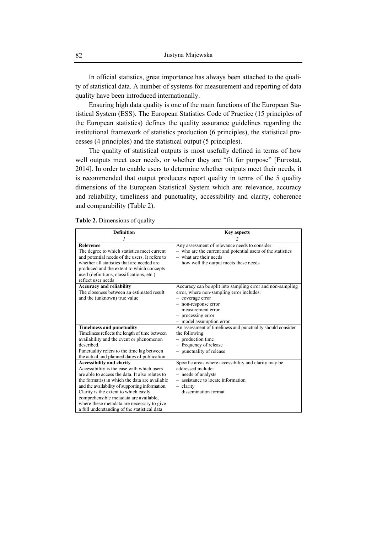In official statistics, great importance has always been attached to the quality of statistical data. A number of systems for measurement and reporting of data quality have been introduced internationally.

Ensuring high data quality is one of the main functions of the European Statistical System (ESS). The European Statistics Code of Practice (15 principles of the European statistics) defines the quality assurance guidelines regarding the institutional framework of statistics production (6 principles), the statistical processes (4 principles) and the statistical output (5 principles).

The quality of statistical outputs is most usefully defined in terms of how well outputs meet user needs, or whether they are "fit for purpose" [Eurostat, 2014]. In order to enable users to determine whether outputs meet their needs, it is recommended that output producers report quality in terms of the 5 quality dimensions of the European Statistical System which are: relevance, accuracy and reliability, timeliness and punctuality, accessibility and clarity, coherence and comparability (Table 2).

**Table 2.** Dimensions of quality

| <b>Definition</b>                                                                                                                                                                                                                                                                                                                                                                                                      | <b>Key aspects</b>                                                                                                                                                                                                             |  |  |
|------------------------------------------------------------------------------------------------------------------------------------------------------------------------------------------------------------------------------------------------------------------------------------------------------------------------------------------------------------------------------------------------------------------------|--------------------------------------------------------------------------------------------------------------------------------------------------------------------------------------------------------------------------------|--|--|
|                                                                                                                                                                                                                                                                                                                                                                                                                        |                                                                                                                                                                                                                                |  |  |
| <b>Relevence</b><br>The degree to which statistics meet current<br>and potential needs of the users. It refers to<br>whether all statistics that are needed are<br>produced and the extent to which concepts<br>used (definitions, classifications, etc.)<br>reflect user needs                                                                                                                                        | Any assessment of relevance needs to consider:<br>- who are the current and potential users of the statistics<br>$-$ what are their needs<br>- how well the output meets these needs                                           |  |  |
| <b>Accuracy and reliability</b><br>The closeness between an estimated result<br>and the (unknown) true value                                                                                                                                                                                                                                                                                                           | Accuracy can be split into sampling error and non-sampling<br>error, where non-sampling error includes:<br>- coverage error<br>- non-response error<br>$-$ measurement error<br>- processing error<br>- model assumption error |  |  |
| <b>Timeliness and punctuality</b><br>Timeliness reflects the length of time between<br>availability and the event or phenomenon<br>described.<br>Punctuality refers to the time lag between<br>the actual and planned dates of publication                                                                                                                                                                             | An assessment of timeliness and punctuality should consider<br>the following:<br>- production time<br>- frequency of release<br>- punctuality of release                                                                       |  |  |
| <b>Accessibility and clarity</b><br>Accessibility is the ease with which users<br>are able to access the data. It also relates to<br>the format(s) in which the data are available<br>and the availability of supporting information.<br>Clarity is the extent to which easily<br>comprehensible metadata are available,<br>where these metadata are necessary to give<br>a full understanding of the statistical data | Specific areas where accessibility and clarity may be<br>addressed include:<br>- needs of analysts<br>- assistance to locate information<br>$-$ clarity<br>$-$ dissemination format                                            |  |  |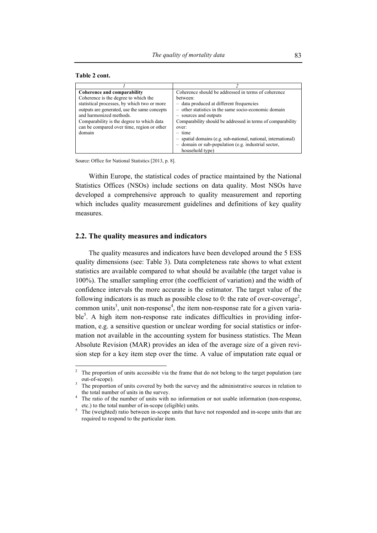| Table 2 cont. |  |  |
|---------------|--|--|
|---------------|--|--|

| Coherence and comparability                  | Coherence should be addressed in terms of coherence            |
|----------------------------------------------|----------------------------------------------------------------|
| Coherence is the degree to which the         | hetween:                                                       |
| statistical processes, by which two or more  | - data produced at different frequencies                       |
| outputs are generated, use the same concepts | - other statistics in the same socio-economic domain           |
| and harmonized methods.                      | - sources and outputs                                          |
| Comparability is the degree to which data    | Comparability should be addressed in terms of comparability    |
| can be compared over time, region or other   | over:                                                          |
| domain                                       | $-$ time                                                       |
|                                              | - spatial domains (e.g. sub-national, national, international) |
|                                              | - domain or sub-population (e.g. industrial sector,            |
|                                              | household type)                                                |

Source: Office for National Statistics [2013, p. 8].

Within Europe, the statistical codes of practice maintained by the National Statistics Offices (NSOs) include sections on data quality. Most NSOs have developed a comprehensive approach to quality measurement and reporting which includes quality measurement guidelines and definitions of key quality measures.

#### **2.2. The quality measures and indicators**

The quality measures and indicators have been developed around the 5 ESS quality dimensions (see: Table 3). Data completeness rate shows to what extent statistics are available compared to what should be available (the target value is 100%). The smaller sampling error (the coefficient of variation) and the width of confidence intervals the more accurate is the estimator. The target value of the following indicators is as much as possible close to 0: the rate of over-coverage<sup>2</sup>, common units<sup>3</sup>, unit non-response<sup>4</sup>, the item non-response rate for a given variable<sup>5</sup>. A high item non-response rate indicates difficulties in providing information, e.g. a sensitive question or unclear wording for social statistics or information not available in the accounting system for business statistics. The Mean Absolute Revision (MAR) provides an idea of the average size of a given revision step for a key item step over the time. A value of imputation rate equal or

<sup>&</sup>lt;sup>2</sup> The proportion of units accessible via the frame that do not belong to the target population (are out-of-scope).

The proportion of units covered by both the survey and the administrative sources in relation to the total number of units in the survey. 4

The ratio of the number of units with no information or not usable information (non-response, etc.) to the total number of in-scope (eligible) units.

 $\frac{3}{5}$  The (weighted) ratio between in-scope units that have not responded and in-scope units that are required to respond to the particular item.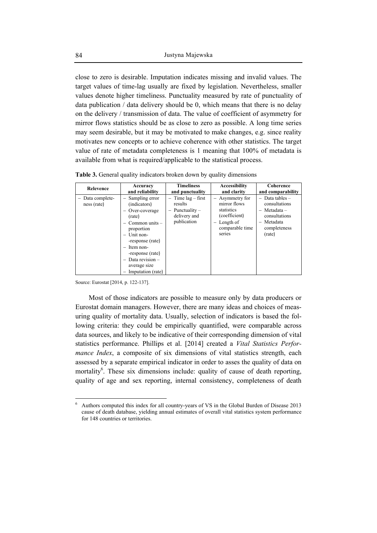close to zero is desirable. Imputation indicates missing and invalid values. The target values of time-lag usually are fixed by legislation. Nevertheless, smaller values denote higher timeliness. Punctuality measured by rate of punctuality of data publication / data delivery should be 0, which means that there is no delay on the delivery / transmission of data. The value of coefficient of asymmetry for mirror flows statistics should be as close to zero as possible. A long time series may seem desirable, but it may be motivated to make changes, e.g. since reality motivates new concepts or to achieve coherence with other statistics. The target value of rate of metadata completeness is 1 meaning that 100% of metadata is available from what is required/applicable to the statistical process.

| <b>Relevence</b>                | Accuracy                                                                                                                                                                                                                            | <b>Timeliness</b>                                                                                               | Accessibility                                                                                              | Coherence                                                                                                                 |
|---------------------------------|-------------------------------------------------------------------------------------------------------------------------------------------------------------------------------------------------------------------------------------|-----------------------------------------------------------------------------------------------------------------|------------------------------------------------------------------------------------------------------------|---------------------------------------------------------------------------------------------------------------------------|
|                                 | and reliability                                                                                                                                                                                                                     | and punctuality                                                                                                 | and clarity                                                                                                | and comparability                                                                                                         |
| - Data complete-<br>ness (rate) | - Sampling error<br>(indicators)<br>Over-coverage<br>(rate)<br>$-$ Common units $-$<br>proportion<br>$-$ Unit non-<br>-response (rate)<br>$-$ Item non-<br>-response (rate)<br>Data revision -<br>average size<br>Imputation (rate) | $-$ Time lag $-$ first<br>results<br>Punctuality $-$<br>$\overline{\phantom{0}}$<br>delivery and<br>publication | - Asymmetry for<br>mirror flows<br>statistics<br>(coefficient)<br>- Length of<br>comparable time<br>series | Data tables $-$<br>$\equiv$<br>consultations<br>$-$ Metadata $-$<br>consultations<br>- Metadata<br>completeness<br>(rate) |

**Table 3.** General quality indicators broken down by quality dimensions

Source: Eurostat [2014, p. 122-137].

 $\overline{a}$ 

Most of those indicators are possible to measure only by data producers or Eurostat domain managers. However, there are many ideas and choices of measuring quality of mortality data. Usually, selection of indicators is based the following criteria: they could be empirically quantified, were comparable across data sources, and likely to be indicative of their corresponding dimension of vital statistics performance. Phillips et al. [2014] created a *Vital Statistics Performance Index*, a composite of six dimensions of vital statistics strength, each assessed by a separate empirical indicator in order to asses the quality of data on mortality<sup>6</sup>. These six dimensions include: quality of cause of death reporting, quality of age and sex reporting, internal consistency, completeness of death

<sup>6</sup> Authors computed this index for all country-years of VS in the Global Burden of Disease 2013 cause of death database, yielding annual estimates of overall vital statistics system performance for 148 countries or territories.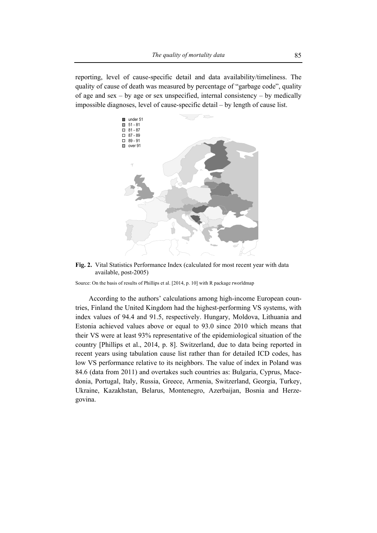reporting, level of cause-specific detail and data availability/timeliness. The quality of cause of death was measured by percentage of "garbage code", quality of age and sex – by age or sex unspecified, internal consistency – by medically impossible diagnoses, level of cause-specific detail – by length of cause list.



**Fig. 2.** Vital Statistics Performance Index (calculated for most recent year with data available, post-2005)

Source: On the basis of results of Phillips et al. [2014, p. 10] with R package rworldmap

According to the authors' calculations among high-income European countries, Finland the United Kingdom had the highest-performing VS systems, with index values of 94.4 and 91.5, respectively. Hungary, Moldova, Lithuania and Estonia achieved values above or equal to 93.0 since 2010 which means that their VS were at least 93% representative of the epidemiological situation of the country [Phillips et al., 2014, p. 8]. Switzerland, due to data being reported in recent years using tabulation cause list rather than for detailed ICD codes, has low VS performance relative to its neighbors. The value of index in Poland was 84.6 (data from 2011) and overtakes such countries as: Bulgaria, Cyprus, Macedonia, Portugal, Italy, Russia, Greece, Armenia, Switzerland, Georgia, Turkey, Ukraine, Kazakhstan, Belarus, Montenegro, Azerbaijan, Bosnia and Herzegovina.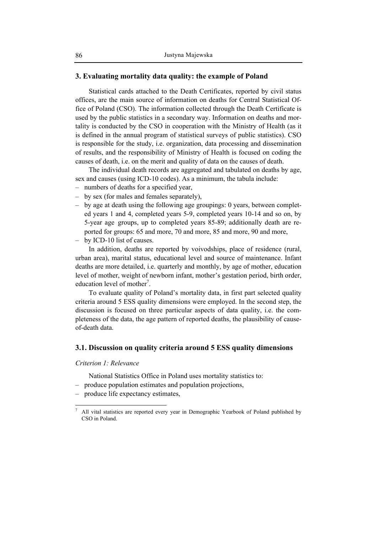## **3. Evaluating mortality data quality: the example of Poland**

Statistical cards attached to the Death Certificates, reported by civil status offices, are the main source of information on deaths for Central Statistical Office of Poland (CSO). The information collected through the Death Certificate is used by the public statistics in a secondary way. Information on deaths and mortality is conducted by the CSO in cooperation with the Ministry of Health (as it is defined in the annual program of statistical surveys of public statistics). CSO is responsible for the study, i.e. organization, data processing and dissemination of results, and the responsibility of Ministry of Health is focused on coding the causes of death, i.e. on the merit and quality of data on the causes of death.

The individual death records are aggregated and tabulated on deaths by age, sex and causes (using ICD-10 codes). As a minimum, the tabula include:

- numbers of deaths for a specified year,
- by sex (for males and females separately),
- by age at death using the following age groupings: 0 years, between completed years 1 and 4, completed years 5-9, completed years 10-14 and so on, by 5-year age groups, up to completed years 85-89; additionally death are reported for groups: 65 and more, 70 and more, 85 and more, 90 and more,
- by ICD-10 list of causes.

In addition, deaths are reported by voivodships, place of residence (rural, urban area), marital status, educational level and source of maintenance. Infant deaths are more detailed, i.e. quarterly and monthly, by age of mother, education level of mother, weight of newborn infant, mother's gestation period, birth order, education level of mother<sup>7</sup>.

To evaluate quality of Poland's mortality data, in first part selected quality criteria around 5 ESS quality dimensions were employed. In the second step, the discussion is focused on three particular aspects of data quality, i.e. the completeness of the data, the age pattern of reported deaths, the plausibility of causeof-death data.

### **3.1. Discussion on quality criteria around 5 ESS quality dimensions**

## *Criterion 1: Relevance*

 $\overline{a}$ 

National Statistics Office in Poland uses mortality statistics to:

- produce population estimates and population projections,
- produce life expectancy estimates,

<sup>7</sup> All vital statistics are reported every year in Demographic Yearbook of Poland published by CSO in Poland.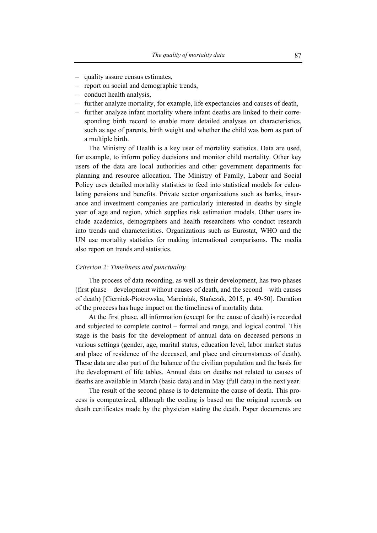- quality assure census estimates,
- report on social and demographic trends,
- conduct health analysis,
- further analyze mortality, for example, life expectancies and causes of death,
- further analyze infant mortality where infant deaths are linked to their corresponding birth record to enable more detailed analyses on characteristics, such as age of parents, birth weight and whether the child was born as part of a multiple birth.

The Ministry of Health is a key user of mortality statistics. Data are used, for example, to inform policy decisions and monitor child mortality. Other key users of the data are local authorities and other government departments for planning and resource allocation. The Ministry of Family, Labour and Social Policy uses detailed mortality statistics to feed into statistical models for calculating pensions and benefits. Private sector organizations such as banks, insurance and investment companies are particularly interested in deaths by single year of age and region, which supplies risk estimation models. Other users include academics, demographers and health researchers who conduct research into trends and characteristics. Organizations such as Eurostat, WHO and the UN use mortality statistics for making international comparisons. The media also report on trends and statistics.

#### *Criterion 2: Timeliness and punctuality*

The process of data recording, as well as their development, has two phases (first phase – development without causes of death, and the second – with causes of death) [Cierniak-Piotrowska, Marciniak, Stańczak, 2015, p. 49-50]. Duration of the proccess has huge impact on the timeliness of mortality data.

At the first phase, all information (except for the cause of death) is recorded and subjected to complete control – formal and range, and logical control. This stage is the basis for the development of annual data on deceased persons in various settings (gender, age, marital status, education level, labor market status and place of residence of the deceased, and place and circumstances of death). These data are also part of the balance of the civilian population and the basis for the development of life tables. Annual data on deaths not related to causes of deaths are available in March (basic data) and in May (full data) in the next year.

The result of the second phase is to determine the cause of death. This process is computerized, although the coding is based on the original records on death certificates made by the physician stating the death. Paper documents are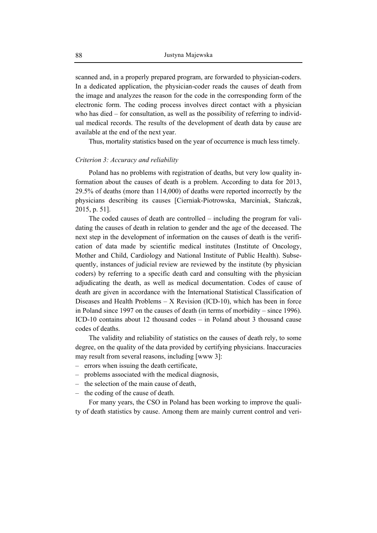scanned and, in a properly prepared program, are forwarded to physician-coders. In a dedicated application, the physician-coder reads the causes of death from the image and analyzes the reason for the code in the corresponding form of the electronic form. The coding process involves direct contact with a physician who has died – for consultation, as well as the possibility of referring to individual medical records. The results of the development of death data by cause are available at the end of the next year.

Thus, mortality statistics based on the year of occurrence is much less timely.

#### *Criterion 3: Accuracy and reliability*

Poland has no problems with registration of deaths, but very low quality information about the causes of death is a problem. According to data for 2013, 29.5% of deaths (more than 114,000) of deaths were reported incorrectly by the physicians describing its causes [Cierniak-Piotrowska, Marciniak, Stańczak, 2015, p. 51].

The coded causes of death are controlled – including the program for validating the causes of death in relation to gender and the age of the deceased. The next step in the development of information on the causes of death is the verification of data made by scientific medical institutes (Institute of Oncology, Mother and Child, Cardiology and National Institute of Public Health). Subsequently, instances of judicial review are reviewed by the institute (by physician coders) by referring to a specific death card and consulting with the physician adjudicating the death, as well as medical documentation. Codes of cause of death are given in accordance with the International Statistical Classification of Diseases and Health Problems  $- X$  Revision (ICD-10), which has been in force in Poland since 1997 on the causes of death (in terms of morbidity – since 1996). ICD-10 contains about 12 thousand codes – in Poland about 3 thousand cause codes of deaths.

The validity and reliability of statistics on the causes of death rely, to some degree, on the quality of the data provided by certifying physicians. Inaccuracies may result from several reasons, including [www 3]:

- errors when issuing the death certificate,
- problems associated with the medical diagnosis,
- the selection of the main cause of death,
- the coding of the cause of death.

For many years, the CSO in Poland has been working to improve the quality of death statistics by cause. Among them are mainly current control and veri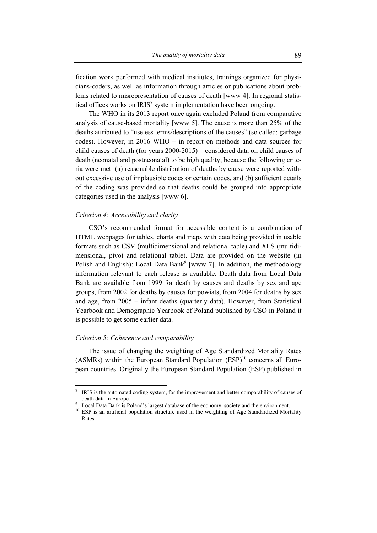fication work performed with medical institutes, trainings organized for physicians-coders, as well as information through articles or publications about problems related to misrepresentation of causes of death [www 4]. In regional statistical offices works on  $IRIS<sup>8</sup>$  system implementation have been ongoing.

The WHO in its 2013 report once again excluded Poland from comparative analysis of cause-based mortality [www 5]. The cause is more than 25% of the deaths attributed to "useless terms/descriptions of the causes" (so called: garbage codes). However, in 2016 WHO – in report on methods and data sources for child causes of death (for years 2000-2015) – considered data on child causes of death (neonatal and postneonatal) to be high quality, because the following criteria were met: (a) reasonable distribution of deaths by cause were reported without excessive use of implausible codes or certain codes, and (b) sufficient details of the coding was provided so that deaths could be grouped into appropriate categories used in the analysis [www 6].

#### *Criterion 4: Accessibility and clarity*

CSO's recommended format for accessible content is a combination of HTML webpages for tables, charts and maps with data being provided in usable formats such as CSV (multidimensional and relational table) and XLS (multidimensional, pivot and relational table). Data are provided on the website (in Polish and English): Local Data Bank<sup>9</sup> [www 7]. In addition, the methodology information relevant to each release is available. Death data from Local Data Bank are available from 1999 for death by causes and deaths by sex and age groups, from 2002 for deaths by causes for powiats, from 2004 for deaths by sex and age, from 2005 – infant deaths (quarterly data). However, from Statistical Yearbook and Demographic Yearbook of Poland published by CSO in Poland it is possible to get some earlier data.

#### *Criterion 5: Coherence and comparability*

 $\overline{a}$ 

The issue of changing the weighting of Age Standardized Mortality Rates (ASMRs) within the European Standard Population  $(ESP)^{10}$  concerns all European countries. Originally the European Standard Population (ESP) published in

<sup>8</sup> IRIS is the automated coding system, for the improvement and better comparability of causes of death data in Europe.

Local Data Bank is Poland's largest database of the economy, society and the environment.

<sup>&</sup>lt;sup>10</sup> ESP is an artificial population structure used in the weighting of Age Standardized Mortality Rates.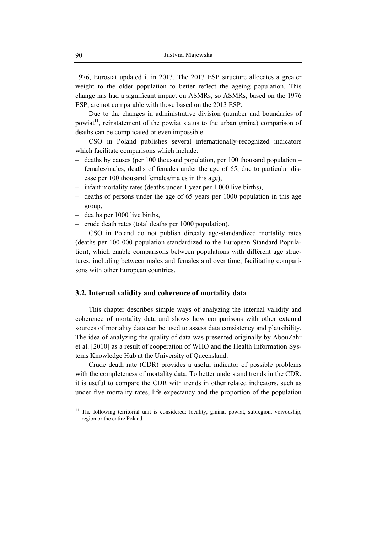1976, Eurostat updated it in 2013. The 2013 ESP structure allocates a greater weight to the older population to better reflect the ageing population. This change has had a significant impact on ASMRs, so ASMRs, based on the 1976 ESP, are not comparable with those based on the 2013 ESP.

Due to the changes in administrative division (number and boundaries of powiat<sup>11</sup>, reinstatement of the powiat status to the urban gmina) comparison of deaths can be complicated or even impossible.

CSO in Poland publishes several internationally-recognized indicators which facilitate comparisons which include:

- deaths by causes (per 100 thousand population, per 100 thousand population females/males, deaths of females under the age of 65, due to particular disease per 100 thousand females/males in this age),
- infant mortality rates (deaths under 1 year per 1 000 live births),
- deaths of persons under the age of 65 years per 1000 population in this age group,
- deaths per 1000 live births,
- crude death rates (total deaths per 1000 population).

CSO in Poland do not publish directly age-standardized mortality rates (deaths per 100 000 population standardized to the European Standard Population), which enable comparisons between populations with different age structures, including between males and females and over time, facilitating comparisons with other European countries.

## **3.2. Internal validity and coherence of mortality data**

This chapter describes simple ways of analyzing the internal validity and coherence of mortality data and shows how comparisons with other external sources of mortality data can be used to assess data consistency and plausibility. The idea of analyzing the quality of data was presented originally by AbouZahr et al. [2010] as a result of cooperation of WHO and the Health Information Systems Knowledge Hub at the University of Queensland.

Crude death rate (CDR) provides a useful indicator of possible problems with the completeness of mortality data. To better understand trends in the CDR, it is useful to compare the CDR with trends in other related indicators, such as under five mortality rates, life expectancy and the proportion of the population

 $\overline{a}$ 

<sup>&</sup>lt;sup>11</sup> The following territorial unit is considered: locality, gmina, powiat, subregion, voivodship, region or the entire Poland.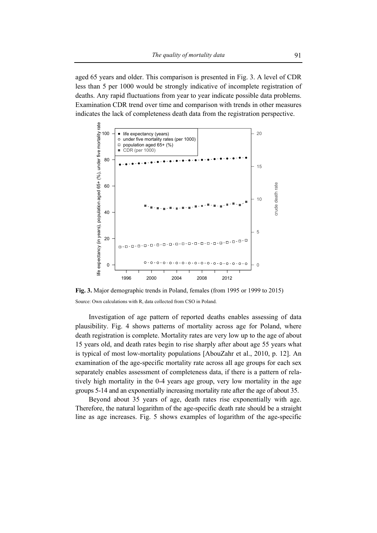aged 65 years and older. This comparison is presented in Fig. 3. A level of CDR less than 5 per 1000 would be strongly indicative of incomplete registration of deaths. Any rapid fluctuations from year to year indicate possible data problems. Examination CDR trend over time and comparison with trends in other measures indicates the lack of completeness death data from the registration perspective.



**Fig. 3.** Major demographic trends in Poland, females (from 1995 or 1999 to 2015) Source: Own calculations with R, data collected from CSO in Poland.

Investigation of age pattern of reported deaths enables assessing of data plausibility. Fig. 4 shows patterns of mortality across age for Poland, where death registration is complete. Mortality rates are very low up to the age of about 15 years old, and death rates begin to rise sharply after about age 55 years what is typical of most low-mortality populations [AbouZahr et al., 2010, p. 12]. An examination of the age-specific mortality rate across all age groups for each sex separately enables assessment of completeness data, if there is a pattern of relatively high mortality in the 0-4 years age group, very low mortality in the age groups 5-14 and an exponentially increasing mortality rate after the age of about 35.

Beyond about 35 years of age, death rates rise exponentially with age. Therefore, the natural logarithm of the age-specific death rate should be a straight line as age increases. Fig. 5 shows examples of logarithm of the age-specific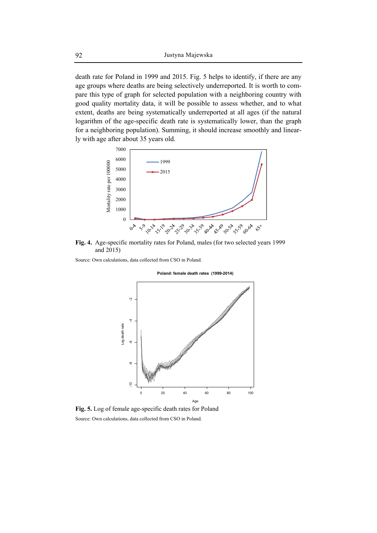death rate for Poland in 1999 and 2015. Fig. 5 helps to identify, if there are any age groups where deaths are being selectively underreported. It is worth to compare this type of graph for selected population with a neighboring country with good quality mortality data, it will be possible to assess whether, and to what extent, deaths are being systematically underreported at all ages (if the natural logarithm of the age-specific death rate is systematically lower, than the graph for a neighboring population). Summing, it should increase smoothly and linearly with age after about 35 years old.



**Fig. 4.** Age-specific mortality rates for Poland, males (for two selected years 1999 and 2015)

**Poland: female death rates (1999-2014)**

Source: Own calculations, data collected from CSO in Poland.

 $\ddot{\phantom{0}}$ -10 -8 -6 -4 -2 Log death rate Log death rateç  $\ddot{0}$ 0 20 40 60 80 100 Age

**Fig. 5.** Log of female age-specific death rates for Poland

#### Source: Own calculations, data collected from CSO in Poland.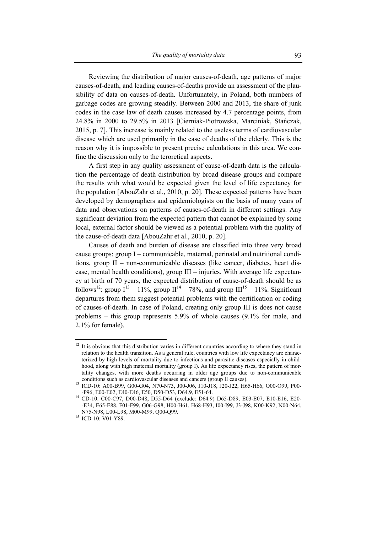Reviewing the distribution of major causes-of-death, age patterns of major causes-of-death, and leading causes-of-deaths provide an assessment of the plausibility of data on causes-of-death. Unfortunately, in Poland, both numbers of garbage codes are growing steadily. Between 2000 and 2013, the share of junk codes in the case law of death causes increased by 4.7 percentage points, from 24.8% in 2000 to 29.5% in 2013 [Cierniak-Piotrowska, Marciniak, Stańczak, 2015, p. 7]. This increase is mainly related to the useless terms of cardiovascular disease which are used primarily in the case of deaths of the elderly. This is the reason why it is impossible to present precise calculations in this area. We confine the discussion only to the teroretical aspects.

A first step in any quality assessment of cause-of-death data is the calculation the percentage of death distribution by broad disease groups and compare the results with what would be expected given the level of life expectancy for the population [AbouZahr et al., 2010, p. 20]. These expected patterns have been developed by demographers and epidemiologists on the basis of many years of data and observations on patterns of causes-of-death in different settings. Any significant deviation from the expected pattern that cannot be explained by some local, external factor should be viewed as a potential problem with the quality of the cause-of-death data [AbouZahr et al., 2010, p. 20].

Causes of death and burden of disease are classified into three very broad cause groups: group I – communicable, maternal, perinatal and nutritional conditions, group II – non-communicable diseases (like cancer, diabetes, heart disease, mental health conditions), group III – injuries. With average life expectancy at birth of 70 years, the expected distribution of cause-of-death should be as follows<sup>12</sup>: group  $I^{13} - 11\%$ , group  $II^{14} - 78\%$ , and group  $III^{15} - 11\%$ . Significant departures from them suggest potential problems with the certification or coding of causes-of-death. In case of Poland, creating only group III is does not cause problems – this group represents 5.9% of whole causes (9.1% for male, and 2.1% for female).

 $\overline{a}$ 

<sup>&</sup>lt;sup>12</sup> It is obvious that this distribution varies in different countries according to where they stand in relation to the health transition. As a general rule, countries with low life expectancy are characterized by high levels of mortality due to infectious and parasitic diseases especially in childhood, along with high maternal mortality (group I). As life expectancy rises, the pattern of mortality changes, with more deaths occurring in older age groups due to non-communicable

conditions such as cardiovascular diseases and cancers (group II causes). 13 ICD-10: A00-B99, G00-G04, N70-N73, J00-J06, J10-J18, J20-J22, H65-H66, O00-O99, P00-

<sup>-</sup>P96, E00-E02, E40-E46, E50, D50-D53, D64.9, E51-64. 14 CD-10: C00-C97, D00-D48, D55-D64 (exclude: D64.9) D65-D89, E03-E07, E10-E16, E20- -E34, E65-E88, F01-F99, G06-G98, H00-H61, H68-H93, I00-I99, J3-J98, K00-K92, N00-N64, N75-N98, L00-L98, M00-M99, Q00-Q99. 15 ICD-10: V01-Y89.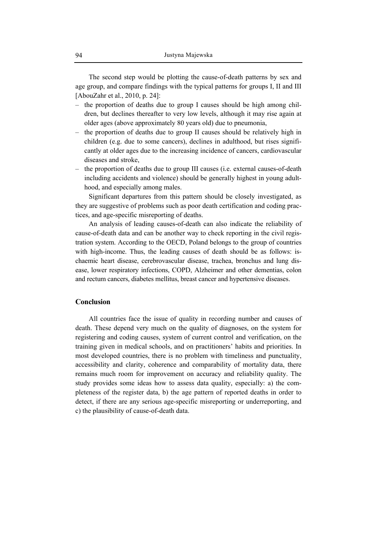The second step would be plotting the cause-of-death patterns by sex and age group, and compare findings with the typical patterns for groups I, II and III [AbouZahr et al., 2010, p. 24]:

- the proportion of deaths due to group I causes should be high among children, but declines thereafter to very low levels, although it may rise again at older ages (above approximately 80 years old) due to pneumonia,
- the proportion of deaths due to group II causes should be relatively high in children (e.g. due to some cancers), declines in adulthood, but rises significantly at older ages due to the increasing incidence of cancers, cardiovascular diseases and stroke,
- the proportion of deaths due to group III causes (i.e. external causes-of-death including accidents and violence) should be generally highest in young adulthood, and especially among males.

Significant departures from this pattern should be closely investigated, as they are suggestive of problems such as poor death certification and coding practices, and age-specific misreporting of deaths.

An analysis of leading causes-of-death can also indicate the reliability of cause-of-death data and can be another way to check reporting in the civil registration system. According to the OECD, Poland belongs to the group of countries with high-income. Thus, the leading causes of death should be as follows: ischaemic heart disease, cerebrovascular disease, trachea, bronchus and lung disease, lower respiratory infections, COPD, Alzheimer and other dementias, colon and rectum cancers, diabetes mellitus, breast cancer and hypertensive diseases.

## **Conclusion**

All countries face the issue of quality in recording number and causes of death. These depend very much on the quality of diagnoses, on the system for registering and coding causes, system of current control and verification, on the training given in medical schools, and on practitioners' habits and priorities. In most developed countries, there is no problem with timeliness and punctuality, accessibility and clarity, coherence and comparability of mortality data, there remains much room for improvement on accuracy and reliability quality. The study provides some ideas how to assess data quality, especially: a) the completeness of the register data, b) the age pattern of reported deaths in order to detect, if there are any serious age-specific misreporting or underreporting, and c) the plausibility of cause-of-death data.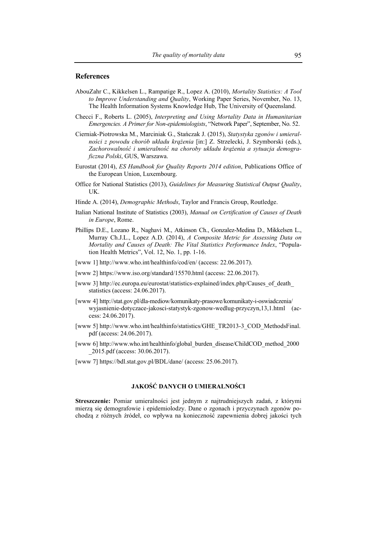#### **References**

- AbouZahr C., Kikkelsen L., Rampatige R., Lopez A. (2010), *Mortality Statistics: A Tool to Improve Understanding and Quality*, Working Paper Series, November, No. 13, The Health Information Systems Knowledge Hub, The University of Queensland.
- Checci F., Roberts L. (2005), *Interpreting and Using Mortality Data in Humanitarian Emergencies. A Primer for Non-epidemiologists*, "Network Paper", September, No. 52.
- Cierniak-Piotrowska M., Marciniak G., Stańczak J. (2015), *Statystyka zgonów i umieralności z powodu chorób układu krążenia* [in:] Z. Strzelecki, J. Szymborski (eds.), *Zachorowalność i umieralność na choroby układu krążenia a sytuacja demograficzna Polski*, GUS, Warszawa.
- Eurostat (2014), *ES Handbook for Quality Reports 2014 edition*, Publications Office of the European Union, Luxembourg.
- Office for National Statistics (2013), *Guidelines for Measuring Statistical Output Quality*, UK.
- Hinde A. (2014), *Demographic Methods*, Taylor and Francis Group, Routledge.
- Italian National Institute of Statistics (2003), *Manual on Certification of Causes of Death in Europe*, Rome.
- Phillips D.E., Lozano R., Naghavi M., Atkinson Ch., Gonzalez-Medina D., Mikkelsen L., Murray Ch.J.L., Lopez A.D. (2014), *A Composite Metric for Assessing Data on Mortality and Causes of Death: The Vital Statistics Performance Index*, "Population Health Metrics", Vol. 12, No. 1, pp. 1-16.
- [www 1] http://www.who.int/healthinfo/cod/en/ (access: 22.06.2017).
- [www 2] https://www.iso.org/standard/15570.html (access: 22.06.2017).
- [www 3] http://ec.europa.eu/eurostat/statistics-explained/index.php/Causes\_of\_death statistics (access: 24.06.2017).
- [www 4] http://stat.gov.pl/dla-mediow/komunikaty-prasowe/komunikaty-i-oswiadczenia/ wyjasnienie-dotyczace-jakosci-statystyk-zgonow-wedlug-przyczyn,13,1.html (access: 24.06.2017).
- [www 5] http://www.who.int/healthinfo/statistics/GHE\_TR2013-3\_COD\_MethodsFinal. pdf (access: 24.06.2017).
- [www 6] http://www.who.int/healthinfo/global\_burden\_disease/ChildCOD\_method\_2000 \_2015.pdf (access: 30.06.2017).
- [www 7] https://bdl.stat.gov.pl/BDL/dane/ (access: 25.06.2017).

# **JAKOŚĆ DANYCH O UMIERALNOŚCI**

**Streszczenie:** Pomiar umieralności jest jednym z najtrudniejszych zadań, z którymi mierzą się demografowie i epidemiolodzy. Dane o zgonach i przyczynach zgonów pochodzą z różnych źródeł, co wpływa na konieczność zapewnienia dobrej jakości tych